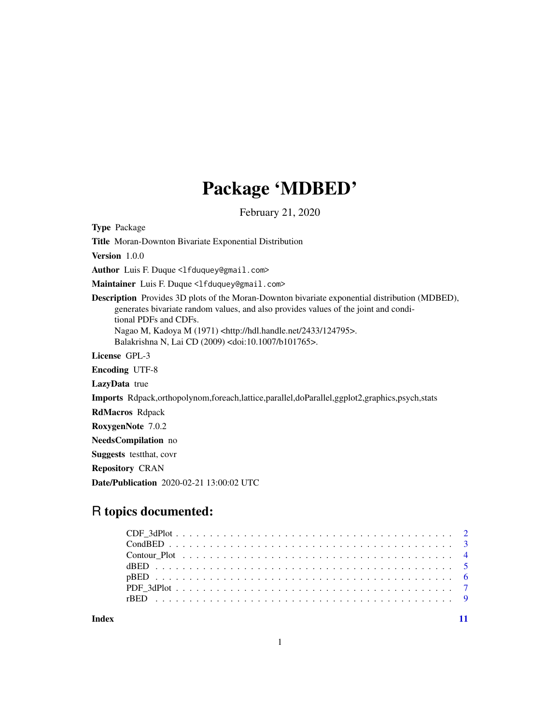# Package 'MDBED'

February 21, 2020

<span id="page-0-0"></span>Type Package

Title Moran-Downton Bivariate Exponential Distribution

Version 1.0.0

Author Luis F. Duque <lfduquey@gmail.com>

Maintainer Luis F. Duque <lfduquey@gmail.com>

Description Provides 3D plots of the Moran-Downton bivariate exponential distribution (MDBED), generates bivariate random values, and also provides values of the joint and conditional PDFs and CDFs. Nagao M, Kadoya M (1971) <http://hdl.handle.net/2433/124795>.

Balakrishna N, Lai CD (2009) <doi:10.1007/b101765>.

License GPL-3

Encoding UTF-8

LazyData true

Imports Rdpack,orthopolynom,foreach,lattice,parallel,doParallel,ggplot2,graphics,psych,stats

RdMacros Rdpack

RoxygenNote 7.0.2

NeedsCompilation no

Suggests testthat, covr

Repository CRAN

Date/Publication 2020-02-21 13:00:02 UTC

# R topics documented:

**Index** [11](#page-10-0)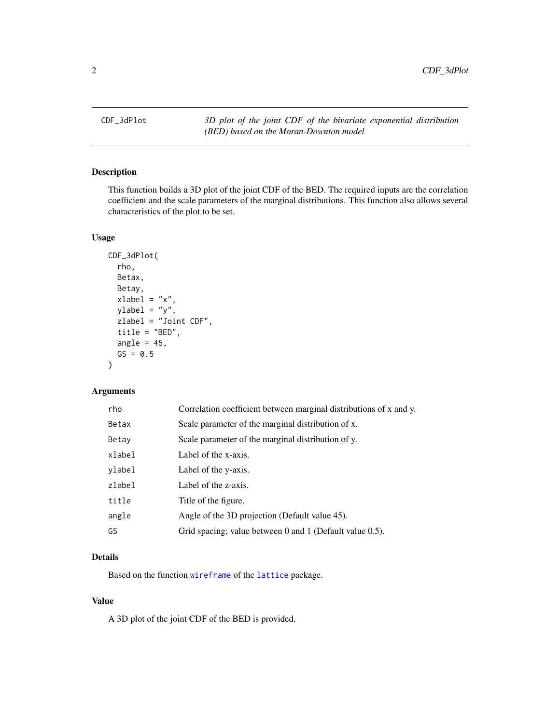<span id="page-1-0"></span>

# Description

This function builds a 3D plot of the joint CDF of the BED. The required inputs are the correlation coefficient and the scale parameters of the marginal distributions. This function also allows several characteristics of the plot to be set.

# Usage

```
CDF_3dPlot(
  rho,
 Betax,
 Betay,
  xlabel = "x",
 ylabel = "y",zlabel = "Joint CDF",
  title = "BED",
  angle = 45,
 GS = 0.5)
```
# Arguments

| rho    | Correlation coefficient between marginal distributions of x and y. |
|--------|--------------------------------------------------------------------|
| Betax  | Scale parameter of the marginal distribution of x.                 |
| Betay  | Scale parameter of the marginal distribution of y.                 |
| xlabel | Label of the x-axis.                                               |
| ylabel | Label of the y-axis.                                               |
| zlabel | Label of the z-axis.                                               |
| title  | Title of the figure.                                               |
| angle  | Angle of the 3D projection (Default value 45).                     |
| GS     | Grid spacing; value between 0 and 1 (Default value 0.5).           |

# Details

Based on the function [wireframe](#page-0-0) of the [lattice](#page-0-0) package.

#### Value

A 3D plot of the joint CDF of the BED is provided.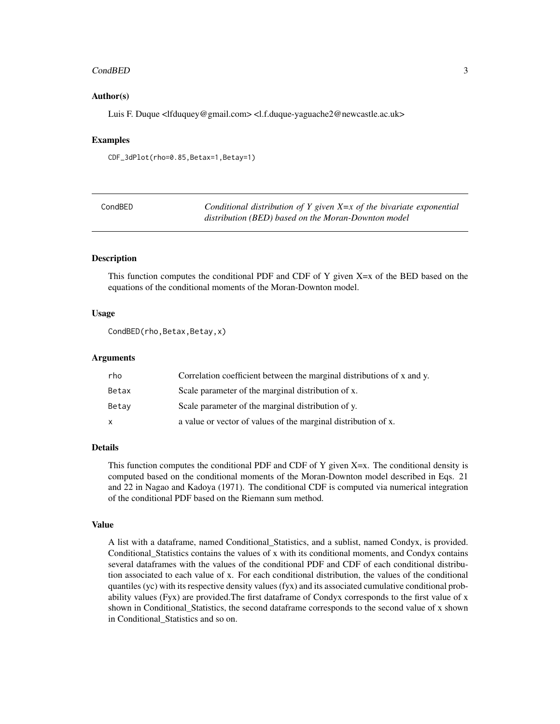#### <span id="page-2-0"></span>CondBED 3

#### Author(s)

Luis F. Duque <lfduquey@gmail.com> <l.f.duque-yaguache2@newcastle.ac.uk>

# Examples

CDF\_3dPlot(rho=0.85,Betax=1,Betay=1)

| CondBED | Conditional distribution of Y given $X=x$ of the bivariate exponential |
|---------|------------------------------------------------------------------------|
|         | distribution (BED) based on the Moran-Downton model                    |

#### Description

This function computes the conditional PDF and CDF of Y given  $X=x$  of the BED based on the equations of the conditional moments of the Moran-Downton model.

#### Usage

```
CondBED(rho,Betax,Betay,x)
```
#### Arguments

| rho   | Correlation coefficient between the marginal distributions of x and y. |
|-------|------------------------------------------------------------------------|
| Betax | Scale parameter of the marginal distribution of x.                     |
| Betav | Scale parameter of the marginal distribution of y.                     |
| x     | a value or vector of values of the marginal distribution of x.         |

### Details

This function computes the conditional PDF and CDF of Y given  $X=x$ . The conditional density is computed based on the conditional moments of the Moran-Downton model described in Eqs. 21 and 22 in Nagao and Kadoya (1971). The conditional CDF is computed via numerical integration of the conditional PDF based on the Riemann sum method.

#### Value

A list with a dataframe, named Conditional\_Statistics, and a sublist, named Condyx, is provided. Conditional\_Statistics contains the values of x with its conditional moments, and Condyx contains several dataframes with the values of the conditional PDF and CDF of each conditional distribution associated to each value of x. For each conditional distribution, the values of the conditional quantiles (yc) with its respective density values (fyx) and its associated cumulative conditional probability values (Fyx) are provided.The first dataframe of Condyx corresponds to the first value of x shown in Conditional\_Statistics, the second dataframe corresponds to the second value of x shown in Conditional\_Statistics and so on.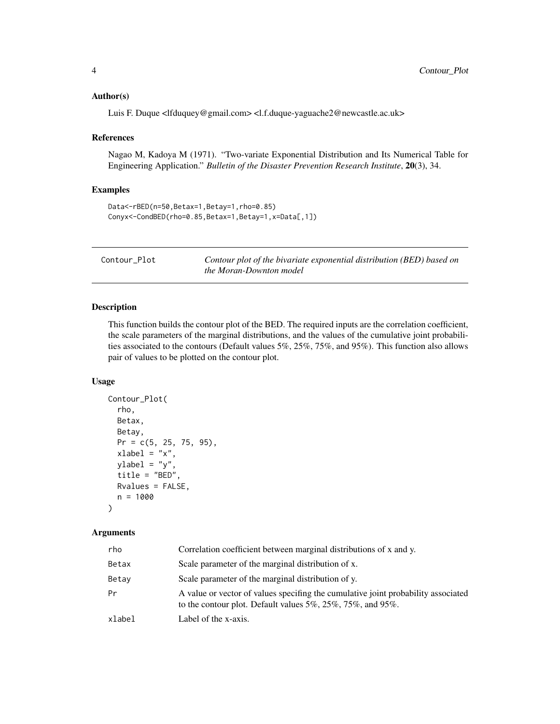#### <span id="page-3-0"></span>Author(s)

Luis F. Duque <lfduquey@gmail.com> <l.f.duque-yaguache2@newcastle.ac.uk>

#### References

Nagao M, Kadoya M (1971). "Two-variate Exponential Distribution and Its Numerical Table for Engineering Application." *Bulletin of the Disaster Prevention Research Institute*, 20(3), 34.

#### Examples

```
Data<-rBED(n=50,Betax=1,Betay=1,rho=0.85)
Conyx<-CondBED(rho=0.85,Betax=1,Betay=1,x=Data[,1])
```

| Contour Plot | Contour plot of the bivariate exponential distribution (BED) based on |
|--------------|-----------------------------------------------------------------------|
|              | the Moran-Downton model                                               |

#### Description

This function builds the contour plot of the BED. The required inputs are the correlation coefficient, the scale parameters of the marginal distributions, and the values of the cumulative joint probabilities associated to the contours (Default values 5%, 25%, 75%, and 95%). This function also allows pair of values to be plotted on the contour plot.

#### Usage

```
Contour_Plot(
  rho,
 Betax,
 Betay,
 Pr = c(5, 25, 75, 95),
  xlabel = "x",ylabel = y'',
  title = "BED",
 Rvalues = FALSE,
  n = 1000)
```
#### Arguments

| rho    | Correlation coefficient between marginal distributions of x and y.                                                                                       |
|--------|----------------------------------------------------------------------------------------------------------------------------------------------------------|
| Betax  | Scale parameter of the marginal distribution of x.                                                                                                       |
| Betav  | Scale parameter of the marginal distribution of y.                                                                                                       |
| Pr     | A value or vector of values specifing the cumulative joint probability associated<br>to the contour plot. Default values $5\%, 25\%, 75\%,$ and $95\%$ . |
| xlabel | Label of the x-axis.                                                                                                                                     |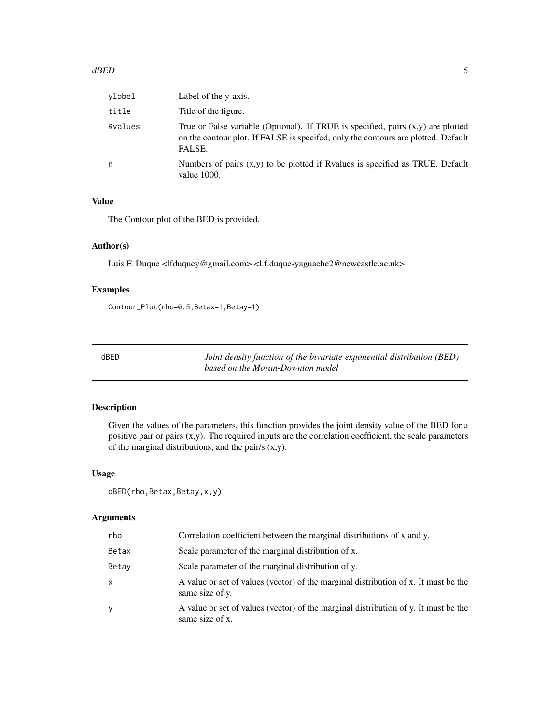<span id="page-4-0"></span>

| ylabel  | Label of the y-axis.                                                                                                                                                              |
|---------|-----------------------------------------------------------------------------------------------------------------------------------------------------------------------------------|
| title   | Title of the figure.                                                                                                                                                              |
| Rvalues | True or False variable (Optional). If TRUE is specified, pairs $(x,y)$ are plotted<br>on the contour plot. If FALSE is specifed, only the contours are plotted. Default<br>FALSE. |
| n       | Numbers of pairs $(x,y)$ to be plotted if Ryalues is specified as TRUE. Default<br>value $1000$ .                                                                                 |

# Value

The Contour plot of the BED is provided.

#### Author(s)

Luis F. Duque <lfduquey@gmail.com> <l.f.duque-yaguache2@newcastle.ac.uk>

#### Examples

Contour\_Plot(rho=0.5,Betax=1,Betay=1)

dBED *Joint density function of the bivariate exponential distribution (BED) based on the Moran-Downton model*

#### Description

Given the values of the parameters, this function provides the joint density value of the BED for a positive pair or pairs (x,y). The required inputs are the correlation coefficient, the scale parameters of the marginal distributions, and the pair/s (x,y).

#### Usage

```
dBED(rho,Betax,Betay,x,y)
```
#### Arguments

| rho   | Correlation coefficient between the marginal distributions of x and y.                                 |
|-------|--------------------------------------------------------------------------------------------------------|
| Betax | Scale parameter of the marginal distribution of x.                                                     |
| Betay | Scale parameter of the marginal distribution of y.                                                     |
| x     | A value or set of values (vector) of the marginal distribution of x. It must be the<br>same size of y. |
| у     | A value or set of values (vector) of the marginal distribution of y. It must be the<br>same size of x. |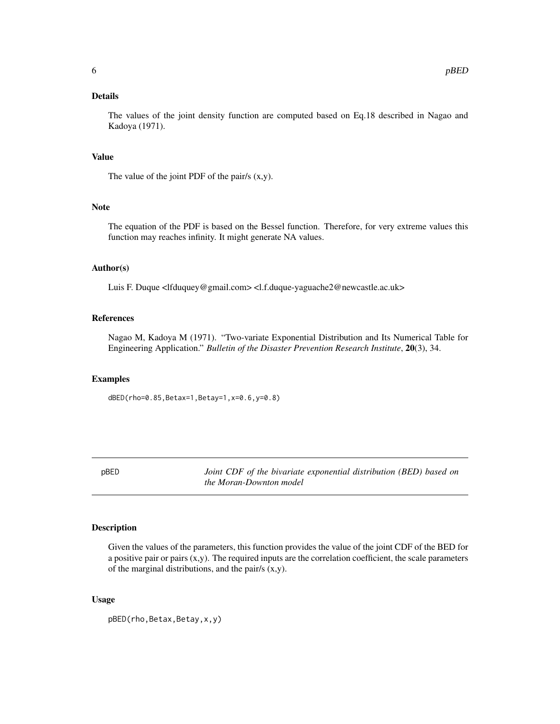<span id="page-5-0"></span>The values of the joint density function are computed based on Eq.18 described in Nagao and Kadoya (1971).

#### Value

The value of the joint PDF of the pair/s (x,y).

#### Note

The equation of the PDF is based on the Bessel function. Therefore, for very extreme values this function may reaches infinity. It might generate NA values.

#### Author(s)

Luis F. Duque <lfduquey@gmail.com> <l.f.duque-yaguache2@newcastle.ac.uk>

#### References

Nagao M, Kadoya M (1971). "Two-variate Exponential Distribution and Its Numerical Table for Engineering Application." *Bulletin of the Disaster Prevention Research Institute*, 20(3), 34.

#### Examples

dBED(rho=0.85,Betax=1,Betay=1,x=0.6,y=0.8)

pBED *Joint CDF of the bivariate exponential distribution (BED) based on the Moran-Downton model*

# Description

Given the values of the parameters, this function provides the value of the joint CDF of the BED for a positive pair or pairs (x,y). The required inputs are the correlation coefficient, the scale parameters of the marginal distributions, and the pair/s (x,y).

#### Usage

pBED(rho,Betax,Betay,x,y)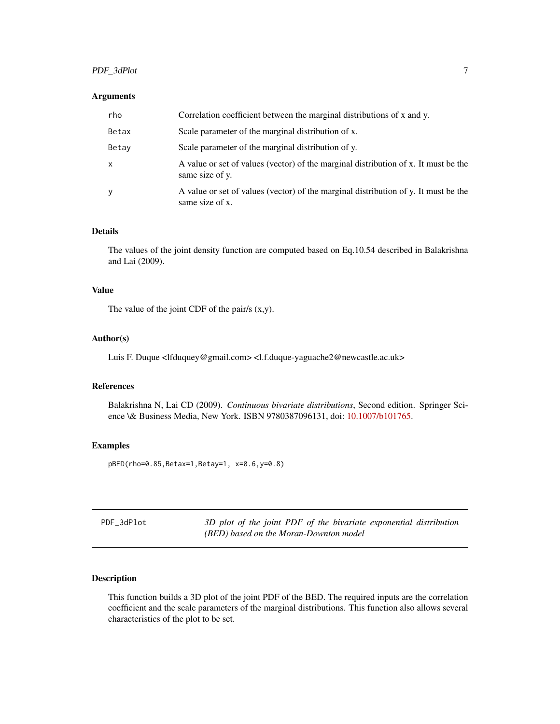# <span id="page-6-0"></span>PDF\_3dPlot 7

#### Arguments

| rho   | Correlation coefficient between the marginal distributions of x and y.                                 |
|-------|--------------------------------------------------------------------------------------------------------|
| Betax | Scale parameter of the marginal distribution of x.                                                     |
| Betay | Scale parameter of the marginal distribution of y.                                                     |
| x     | A value or set of values (vector) of the marginal distribution of x. It must be the<br>same size of y. |
| y     | A value or set of values (vector) of the marginal distribution of y. It must be the<br>same size of x. |

#### Details

The values of the joint density function are computed based on Eq.10.54 described in Balakrishna and Lai (2009).

# Value

The value of the joint CDF of the pair/s (x,y).

#### Author(s)

Luis F. Duque <lfduquey@gmail.com> <l.f.duque-yaguache2@newcastle.ac.uk>

# References

Balakrishna N, Lai CD (2009). *Continuous bivariate distributions*, Second edition. Springer Science \& Business Media, New York. ISBN 9780387096131, doi: [10.1007/b101765.](https://doi.org/10.1007/b101765)

#### Examples

pBED(rho=0.85,Betax=1,Betay=1, x=0.6,y=0.8)

| PDF 3dPlot | 3D plot of the joint PDF of the bivariate exponential distribution |
|------------|--------------------------------------------------------------------|
|            | (BED) based on the Moran-Downton model                             |

# Description

This function builds a 3D plot of the joint PDF of the BED. The required inputs are the correlation coefficient and the scale parameters of the marginal distributions. This function also allows several characteristics of the plot to be set.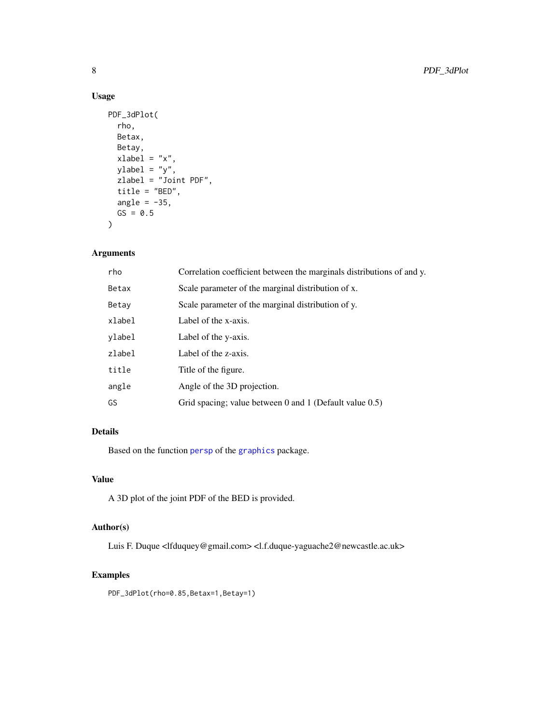# Usage

```
PDF_3dPlot(
  rho,
  Betax,
  Betay,
  xlabel = 'x'',ylabel = "y",zlabel = "Joint PDF",
  title = "BED",
  angle = -35,
  GS = 0.5\mathcal{L}
```
# Arguments

| rho    | Correlation coefficient between the marginals distributions of and y. |
|--------|-----------------------------------------------------------------------|
| Betax  | Scale parameter of the marginal distribution of x.                    |
| Betay  | Scale parameter of the marginal distribution of y.                    |
| xlabel | Label of the x-axis.                                                  |
| ylabel | Label of the y-axis.                                                  |
| zlabel | Label of the z-axis.                                                  |
| title  | Title of the figure.                                                  |
| angle  | Angle of the 3D projection.                                           |
| GS     | Grid spacing; value between $0$ and $1$ (Default value $0.5$ )        |

# Details

Based on the function [persp](#page-0-0) of the [graphics](#page-0-0) package.

# Value

A 3D plot of the joint PDF of the BED is provided.

# Author(s)

Luis F. Duque <lfduquey@gmail.com> <l.f.duque-yaguache2@newcastle.ac.uk>

# Examples

PDF\_3dPlot(rho=0.85,Betax=1,Betay=1)

<span id="page-7-0"></span>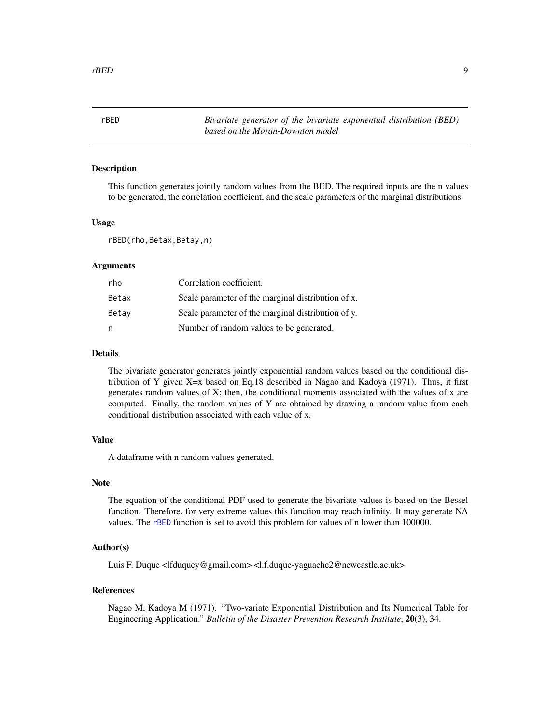<span id="page-8-1"></span><span id="page-8-0"></span>rBED *Bivariate generator of the bivariate exponential distribution (BED) based on the Moran-Downton model*

#### Description

This function generates jointly random values from the BED. The required inputs are the n values to be generated, the correlation coefficient, and the scale parameters of the marginal distributions.

#### Usage

rBED(rho,Betax,Betay,n)

# **Arguments**

| rho   | Correlation coefficient.                           |
|-------|----------------------------------------------------|
| Betax | Scale parameter of the marginal distribution of x. |
| Betay | Scale parameter of the marginal distribution of y. |
| n     | Number of random values to be generated.           |

## Details

The bivariate generator generates jointly exponential random values based on the conditional distribution of Y given X=x based on Eq.18 described in Nagao and Kadoya (1971). Thus, it first generates random values of X; then, the conditional moments associated with the values of x are computed. Finally, the random values of Y are obtained by drawing a random value from each conditional distribution associated with each value of x.

#### Value

A dataframe with n random values generated.

# Note

The equation of the conditional PDF used to generate the bivariate values is based on the Bessel function. Therefore, for very extreme values this function may reach infinity. It may generate NA values. The [rBED](#page-8-1) function is set to avoid this problem for values of n lower than 100000.

#### Author(s)

Luis F. Duque <lfduquey@gmail.com> <l.f.duque-yaguache2@newcastle.ac.uk>

#### References

Nagao M, Kadoya M (1971). "Two-variate Exponential Distribution and Its Numerical Table for Engineering Application." *Bulletin of the Disaster Prevention Research Institute*, 20(3), 34.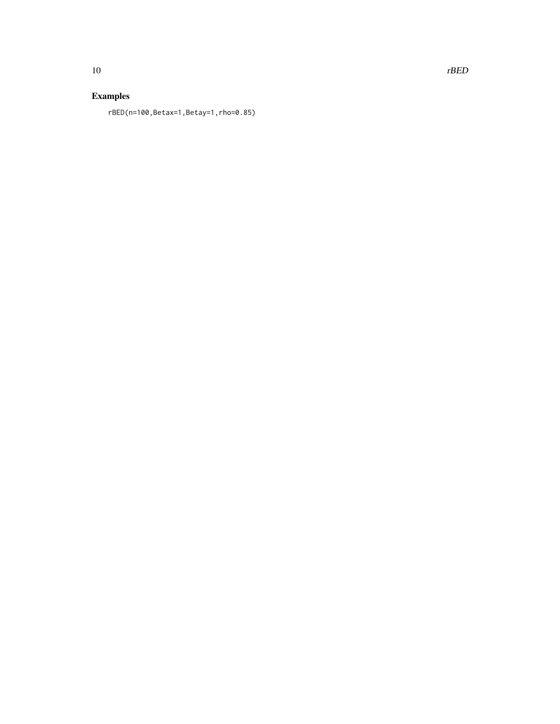# Examples

rBED(n=100,Betax=1,Betay=1,rho=0.85)